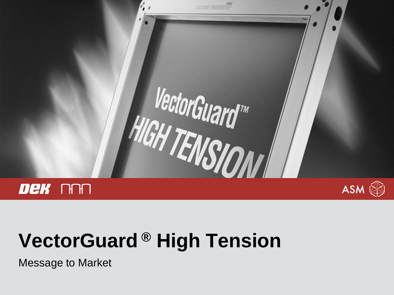

# **VectorGuard ® High Tension**

Message to Market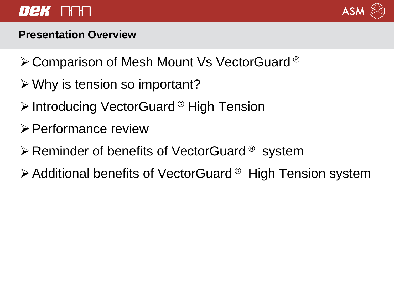### *Dek* na



#### **Presentation Overview**

- **≻ Comparison of Mesh Mount Vs VectorGuard ®**
- $\triangleright$  Why is tension so important?
- **Exteraor Pright Tension > Introducing VectorGuard ® High Tension**
- Performance review
- $\triangleright$  Reminder of benefits of VectorGuard ® system
- $\triangleright$  Additional benefits of VectorGuard <sup>®</sup> High Tension system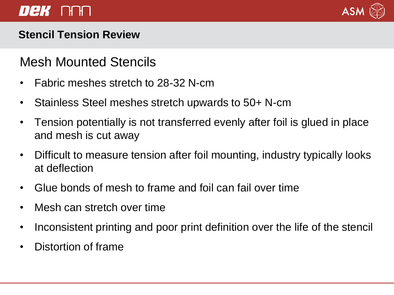### DeK AAA



#### **Stencil Tension Review**

### Mesh Mounted Stencils

- Fabric meshes stretch to 28-32 N-cm
- Stainless Steel meshes stretch upwards to 50+ N-cm
- Tension potentially is not transferred evenly after foil is glued in place and mesh is cut away
- Difficult to measure tension after foil mounting, industry typically looks at deflection
- Glue bonds of mesh to frame and foil can fail over time
- Mesh can stretch over time
- Inconsistent printing and poor print definition over the life of the stencil
- Distortion of frame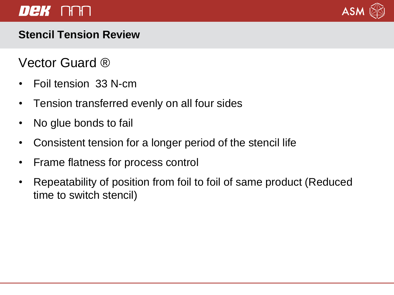### *Dek* na



#### **Stencil Tension Review**

### Vector Guard ®

- Foil tension 33 N-cm
- Tension transferred evenly on all four sides
- No glue bonds to fail
- Consistent tension for a longer period of the stencil life
- Frame flatness for process control
- Repeatability of position from foil to foil of same product (Reduced time to switch stencil)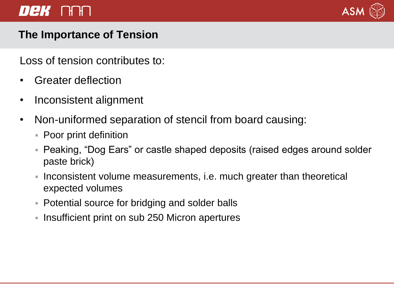### DeK AAN



#### **The Importance of Tension**

Loss of tension contributes to:

- Greater deflection
- Inconsistent alignment
- Non-uniformed separation of stencil from board causing:
	- Poor print definition
	- Peaking, "Dog Ears" or castle shaped deposits (raised edges around solder paste brick)
	- I Inconsistent volume measurements, i.e. much greater than theoretical expected volumes
	- Potential source for bridging and solder balls
	- **Insufficient print on sub 250 Micron apertures**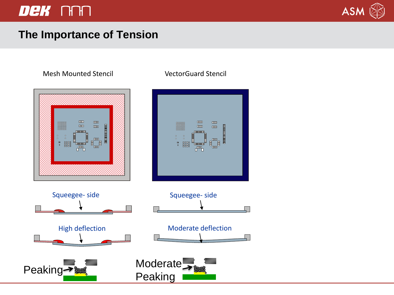### DEK NAN



#### **The Importance of Tension**

#### Mesh Mounted Stencil VectorGuard Stencil

#### $\rm{mm}$  $\mathbf{H}$  $\Box$  $\mathbf{m}$  $\overline{\text{nm}}$  $\overline{\mathbf{m}}$  $\mathbf{m}$  $\mathbf{L}\mathbf{L}\mathbf{L}$ manananananan  $\ddotsc$ ▌<br>▌▁▏ Squeegee- side Squeegee- side High deflection Moderate deflection Peaking **Moderate**

Peaking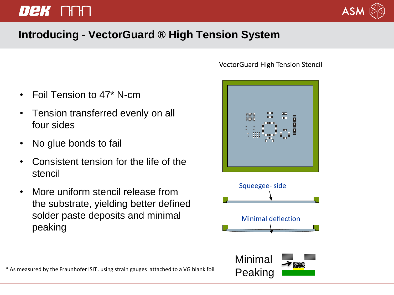## *Dek* ori



#### **Introducing - VectorGuard ® High Tension System**

- Foil Tension to 47\* N-cm
- Tension transferred evenly on all four sides
- No glue bonds to fail
- Consistent tension for the life of the stencil
- More uniform stencil release from the substrate, yielding better defined solder paste deposits and minimal peaking



#### VectorGuard High Tension Stencil

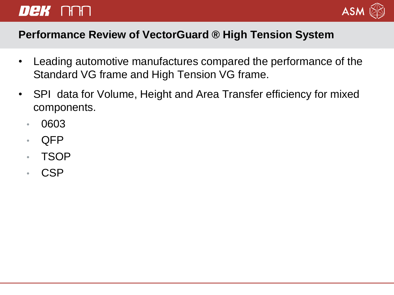## DeK NAN



#### **Performance Review of VectorGuard ® High Tension System**

- Leading automotive manufactures compared the performance of the Standard VG frame and High Tension VG frame.
- SPI data for Volume, Height and Area Transfer efficiency for mixed components.
	- 0603
	- QFP
	- TSOP
	- CSP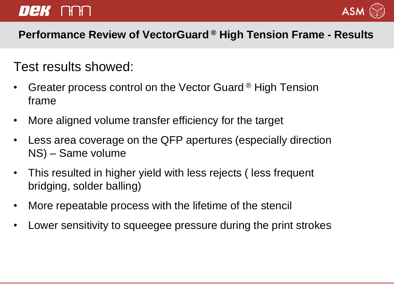### DeK NNN



#### **Performance Review of VectorGuard ® High Tension Frame - Results**

### Test results showed:

- Greater process control on the Vector Guard ® High Tension frame
- More aligned volume transfer efficiency for the target
- Less area coverage on the QFP apertures (especially direction NS) – Same volume
- This resulted in higher yield with less rejects ( less frequent bridging, solder balling)
- More repeatable process with the lifetime of the stencil
- Lower sensitivity to squeegee pressure during the print strokes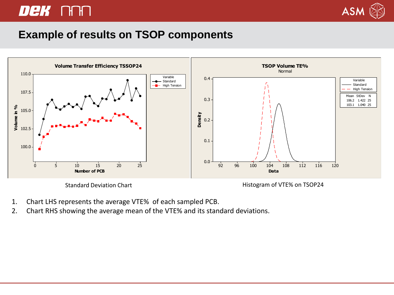### Dek Ann



#### **Example of results on TSOP components**



Standard Deviation Chart **Histogram of VTE% on TSOP24** 

- 1. Chart LHS represents the average VTE% of each sampled PCB.
- 2. Chart RHS showing the average mean of the VTE% and its standard deviations.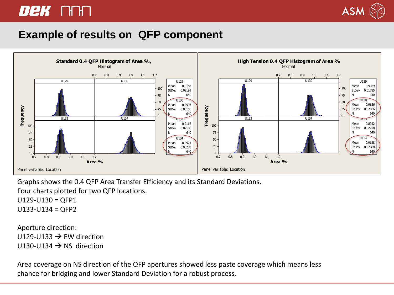### DeK NAN



#### **Example of results on QFP component**



Graphs shows the 0.4 QFP Area Transfer Efficiency and its Standard Deviations.

Four charts plotted for two QFP locations.

 $U129-U130 = QFP1$ 

 $U133-U134 = QFP2$ 

Aperture direction: U129-U133  $\rightarrow$  EW direction  $U130-U134 \rightarrow NS$  direction

Area coverage on NS direction of the QFP apertures showed less paste coverage which means less chance for bridging and lower Standard Deviation for a robust process.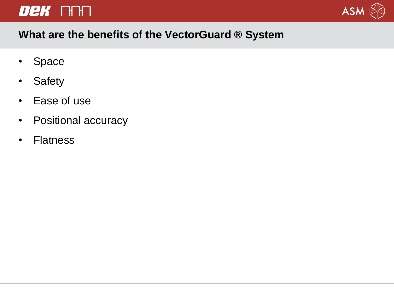### DEK NH



#### **What are the benefits of the VectorGuard ® System**

- Space
- Safety
- Ease of use
- Positional accuracy
- Flatness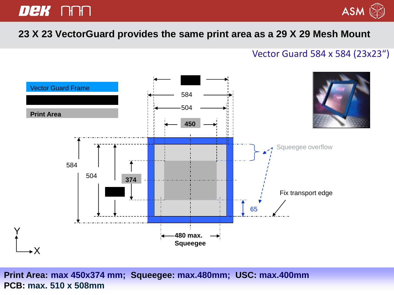### Dek Ann



#### $\frac{33}{4}$   $\frac{23}{1}$   $\frac{23}{1}$   $\frac{23}{1}$   $\frac{23}{1}$   $\frac{23}{1}$   $\frac{25}{1}$   $\frac{27}{1}$   $\frac{29}{1}$   $\frac{23}{1}$   $\frac{23}{1}$   $\frac{25}{1}$   $\frac{27}{1}$   $\frac{29}{1}$   $\frac{29}{1}$   $\frac{29}{1}$   $\frac{29}{1}$   $\frac{29}{1}$   $\frac{29}{1}$   $\frac{29}{1}$  **23 X 23 VectorGuard provides the same print area as a 29 X 29 Mesh Mount**

#### Vector Guard 584 x 584 (23x23")



**Print Area: max 450x374 mm; Squeegee: max.480mm; USC: max.400mm PCB: max. 510 x 508mm**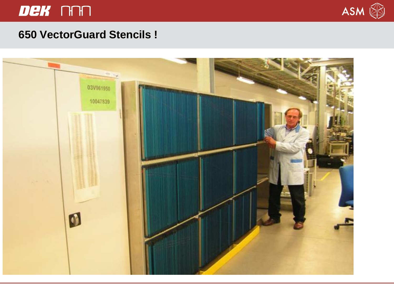### Dek An



#### **650 VectorGuard Stencils !**

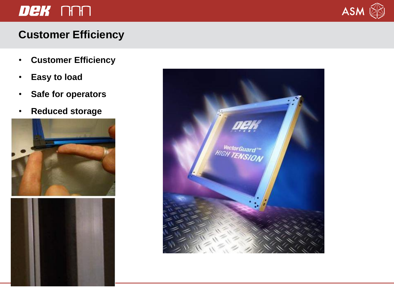### Dek NM



### **Customer Efficiency**

- **Customer Efficiency**
- **Easy to load**
- **Safe for operators**
- **Reduced storage**





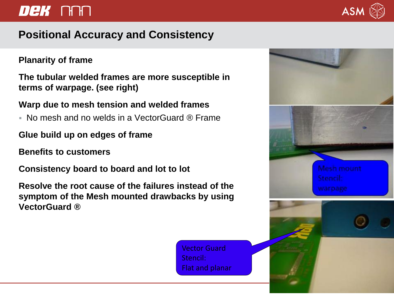### DeK NAN

#### **Positional Accuracy and Consistency**

#### **Planarity of frame**

**The tubular welded frames are more susceptible in terms of warpage. (see right)**

#### **Warp due to mesh tension and welded frames**

- No mesh and no welds in a VectorGuard ® Frame
- **Glue build up on edges of frame**
- **Benefits to customers**
- **Consistency board to board and lot to lot**

**Resolve the root cause of the failures instead of the symptom of the Mesh mounted drawbacks by using VectorGuard ®**

> Vector Guard Stencil: Flat and planar



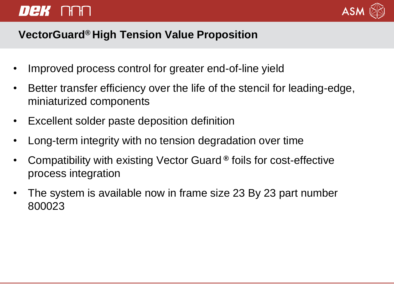## *Dek* nan



#### **VectorGuard® High Tension Value Proposition**

- Improved process control for greater end-of-line yield
- Better transfer efficiency over the life of the stencil for leading-edge, miniaturized components
- Excellent solder paste deposition definition
- Long-term integrity with no tension degradation over time
- Compatibility with existing Vector Guard **®** foils for cost-effective process integration
- The system is available now in frame size 23 By 23 part number 800023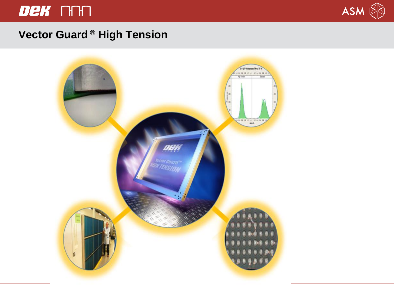### Dek NH



#### **Vector Guard ® High Tension**